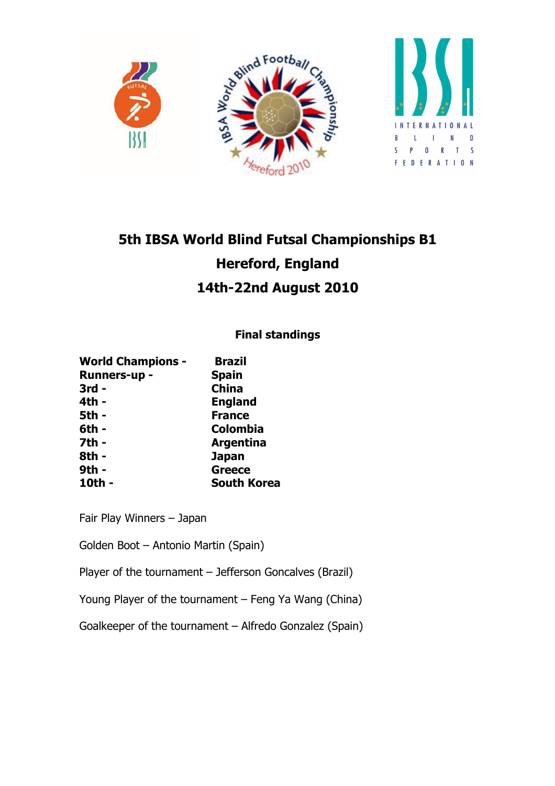



# 5th IBSA World Blind Futsal Championships B1 Hereford, England 14th-22nd August 2010

### Final standings

| <b>World Champions -</b> | <b>Brazil</b>      |
|--------------------------|--------------------|
| <b>Runners-up -</b>      | <b>Spain</b>       |
| $3rd -$                  | <b>China</b>       |
| 4th -                    | <b>England</b>     |
| <b>5th -</b>             | <b>France</b>      |
| 6th -                    | <b>Colombia</b>    |
| 7th -                    | <b>Argentina</b>   |
| 8th -                    | <b>Japan</b>       |
| 9th -                    | <b>Greece</b>      |
| 10th -                   | <b>South Korea</b> |

Fair Play Winners – Japan

Golden Boot – Antonio Martin (Spain)

Player of the tournament – Jefferson Goncalves (Brazil)

Young Player of the tournament – Feng Ya Wang (China)

Goalkeeper of the tournament – Alfredo Gonzalez (Spain)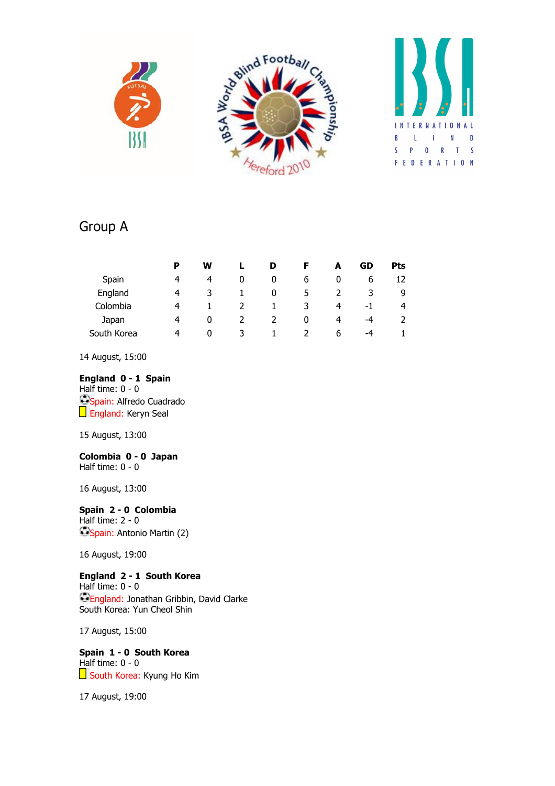



### Group A

|             | Р | w        |   | D             | F | A | GD  | Pts |
|-------------|---|----------|---|---------------|---|---|-----|-----|
| Spain       | 4 | 4        | 0 | 0             | ь | 0 | b   | 12  |
| England     | 4 | 3        |   | 0             | כ | 2 | 3   | 9   |
| Colombia    | 4 |          |   |               | 3 | 4 | - 1 | 4   |
| Japan       | 4 | 0        |   | $\mathcal{P}$ | 0 | 4 | -4  |     |
| South Korea | 4 | $\Omega$ | 3 |               | 2 | b | -4  |     |

#### 14 August, 15:00

#### England 0 - 1 Spain

Half time: 0 - 0 **Spain: Alfredo Cuadrado** England: Keryn Seal

15 August, 13:00

#### Colombia 0 - 0 Japan Half time: 0 - 0

16 August, 13:00

#### Spain 2 - 0 Colombia

Half time: 2 - 0 Spain: Antonio Martin (2)

16 August, 19:00

#### England 2 - 1 South Korea

Half time: 0 - 0 **England: Jonathan Gribbin, David Clarke** South Korea: Yun Cheol Shin

17 August, 15:00

#### Spain 1 - 0 South Korea Half time: 0 - 0 South Korea: Kyung Ho Kim

17 August, 19:00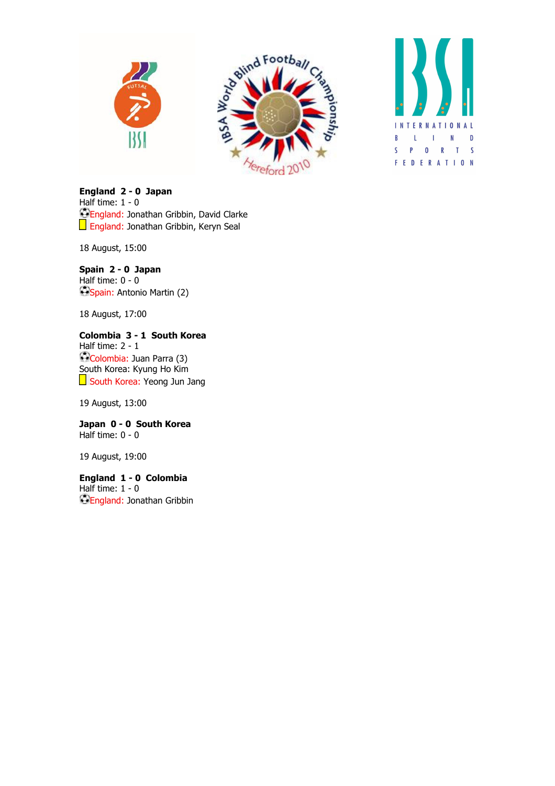





#### England 2 - 0 Japan Half time: 1 - 0 England: Jonathan Gribbin, David Clarke England: Jonathan Gribbin, Keryn Seal

18 August, 15:00

#### Spain 2 - 0 Japan

Half time: 0 - 0 Spain: Antonio Martin (2)

18 August, 17:00

#### Colombia 3 - 1 South Korea

Half time: 2 - 1 Colombia: Juan Parra (3) South Korea: Kyung Ho Kim South Korea: Yeong Jun Jang

19 August, 13:00

Japan 0 - 0 South Korea Half time: 0 - 0

19 August, 19:00

England 1 - 0 Colombia Half time:  $1 - 0$  $E$ England: Jonathan Gribbin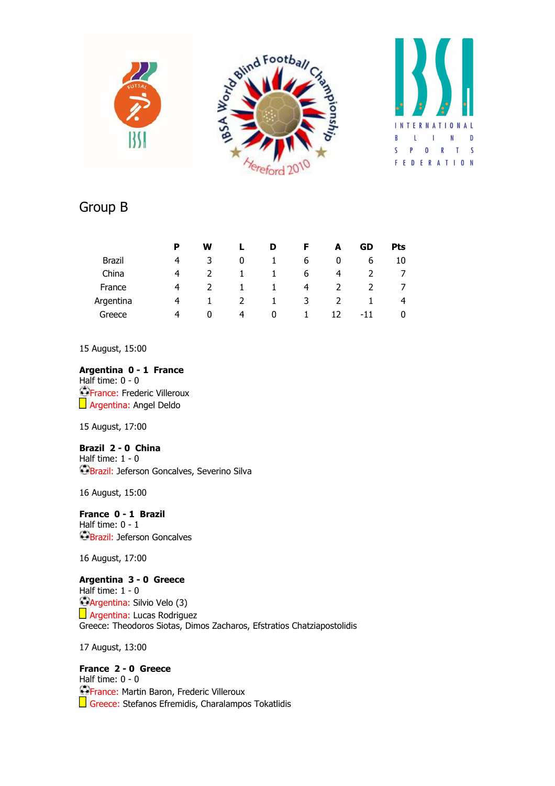



## Group B

|               | Р | W |   | D | r | A  | GD  | Pts |
|---------------|---|---|---|---|---|----|-----|-----|
| <b>Brazil</b> | 4 | 3 | 0 |   | b | 0  | b   | 10  |
| China         | 4 |   |   |   | b | 4  |     |     |
| France        | 4 |   |   |   | 4 | 2  | 2   |     |
| Argentina     | 4 |   | 2 |   | 3 | 2  |     | 4   |
| Greece        | 4 | 0 | 4 | 0 |   | 12 | -11 | 0   |

15 August, 15:00

#### Argentina 0 - 1 France

Half time: 0 - 0 **C**France: Frederic Villeroux **Argentina: Angel Deldo** 

15 August, 17:00

Brazil 2 - 0 China Half time: 1 - 0 **Brazil: Jeferson Goncalves, Severino Silva** 

16 August, 15:00

France 0 - 1 Brazil Half time: 0 - 1 **Brazil: Jeferson Goncalves** 

16 August, 17:00

#### Argentina 3 - 0 Greece

Half time:  $1 - 0$ Argentina: Silvio Velo (3) **Argentina: Lucas Rodriguez** Greece: Theodoros Siotas, Dimos Zacharos, Efstratios Chatziapostolidis

17 August, 13:00

France 2 - 0 Greece Half time: 0 - 0 **C**France: Martin Baron, Frederic Villeroux Greece: Stefanos Efremidis, Charalampos Tokatlidis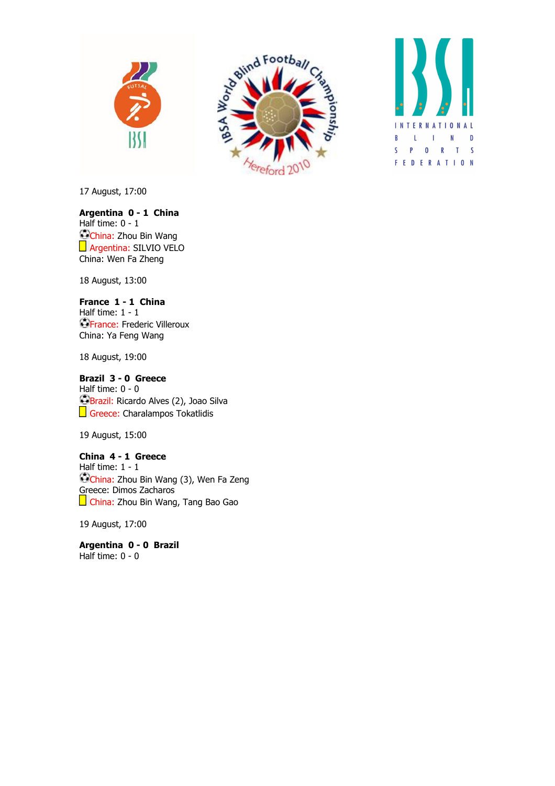





17 August, 17:00

Argentina 0 - 1 China Half time: 0 - 1 China: Zhou Bin Wang Argentina: SILVIO VELO China: Wen Fa Zheng

18 August, 13:00

France 1 - 1 China Half time: 1 - 1 **C**France: Frederic Villeroux China: Ya Feng Wang

18 August, 19:00

Brazil 3 - 0 Greece Half time: 0 - 0 **Brazil:** Ricardo Alves (2), Joao Silva Greece: Charalampos Tokatlidis

19 August, 15:00

China 4 - 1 Greece Half time: 1 - 1 China: Zhou Bin Wang (3), Wen Fa Zeng Greece: Dimos Zacharos China: Zhou Bin Wang, Tang Bao Gao

19 August, 17:00

Argentina 0 - 0 Brazil Half time: 0 - 0